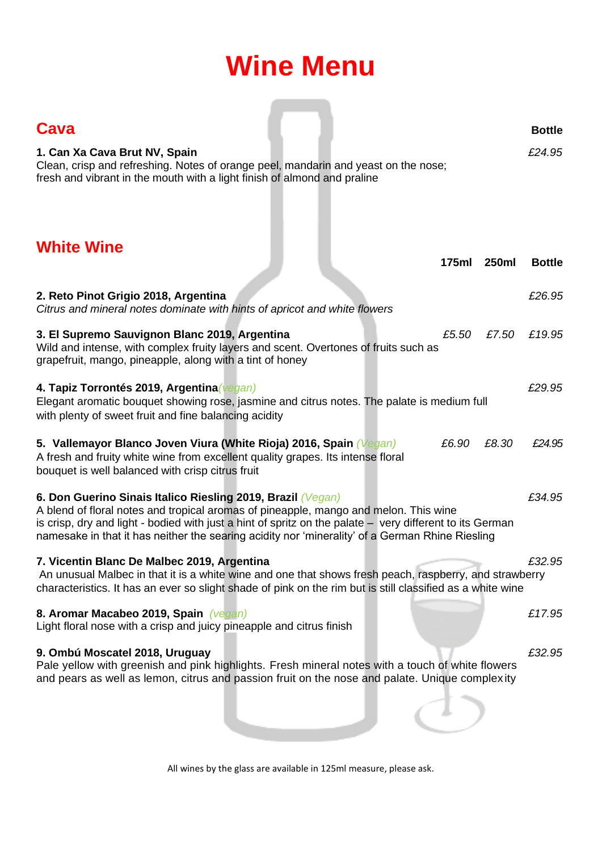# **Wine Menu**

| <b>Cava</b><br>1. Can Xa Cava Brut NV, Spain<br>Clean, crisp and refreshing. Notes of orange peel, mandarin and yeast on the nose;<br>fresh and vibrant in the mouth with a light finish of almond and praline                                                                                                                                                     | <b>Bottle</b><br>£24.95 |
|--------------------------------------------------------------------------------------------------------------------------------------------------------------------------------------------------------------------------------------------------------------------------------------------------------------------------------------------------------------------|-------------------------|
| <b>White Wine</b><br>175ml<br>250ml                                                                                                                                                                                                                                                                                                                                | <b>Bottle</b>           |
| 2. Reto Pinot Grigio 2018, Argentina<br>Citrus and mineral notes dominate with hints of apricot and white flowers                                                                                                                                                                                                                                                  | £26.95                  |
| 3. El Supremo Sauvignon Blanc 2019, Argentina<br>£7.50<br>£5.50<br>Wild and intense, with complex fruity layers and scent. Overtones of fruits such as<br>grapefruit, mango, pineapple, along with a tint of honey                                                                                                                                                 | £19.95                  |
| 4. Tapiz Torrontés 2019, Argentina (vegan)<br>Elegant aromatic bouquet showing rose, jasmine and citrus notes. The palate is medium full<br>with plenty of sweet fruit and fine balancing acidity                                                                                                                                                                  | £29.95                  |
| £6.90<br>£8.30<br>5. Vallemayor Blanco Joven Viura (White Rioja) 2016, Spain (Vegan)<br>A fresh and fruity white wine from excellent quality grapes. Its intense floral<br>bouquet is well balanced with crisp citrus fruit                                                                                                                                        | £24.95                  |
| 6. Don Guerino Sinais Italico Riesling 2019, Brazil (Vegan)<br>A blend of floral notes and tropical aromas of pineapple, mango and melon. This wine<br>is crisp, dry and light - bodied with just a hint of spritz on the palate - very different to its German<br>namesake in that it has neither the searing acidity nor 'minerality' of a German Rhine Riesling | £34.95                  |
| 7. Vicentin Blanc De Malbec 2019, Argentina<br>An unusual Malbec in that it is a white wine and one that shows fresh peach, raspberry, and strawberry<br>characteristics. It has an ever so slight shade of pink on the rim but is still classified as a white wine                                                                                                | £32.95                  |
| 8. Aromar Macabeo 2019, Spain (vegan)<br>Light floral nose with a crisp and juicy pineapple and citrus finish                                                                                                                                                                                                                                                      | £17.95                  |
| 9. Ombú Moscatel 2018, Uruguay<br>Pale yellow with greenish and pink highlights. Fresh mineral notes with a touch of white flowers<br>and pears as well as lemon, citrus and passion fruit on the nose and palate. Unique complexity                                                                                                                               | £32.95                  |

All wines by the glass are available in 125ml measure, please ask.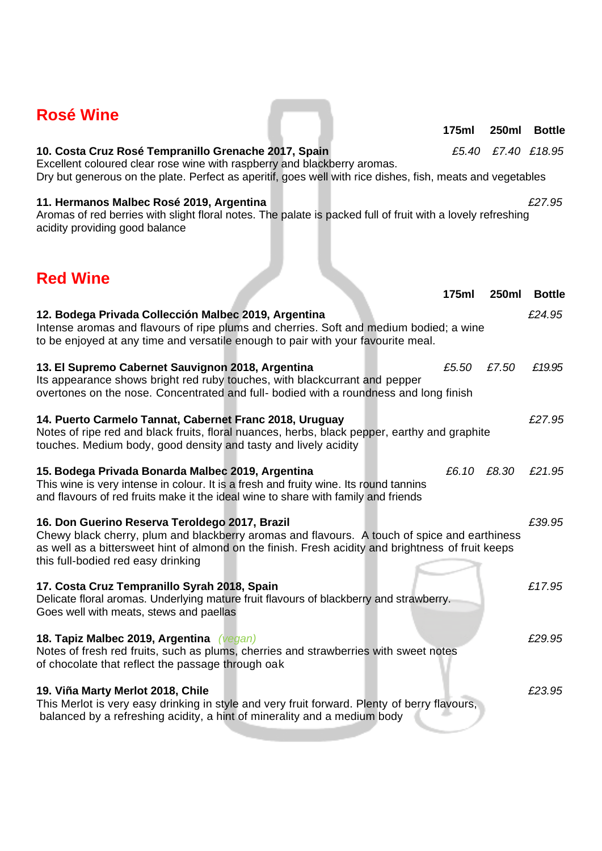| 11. Hermanos Malbec Rosé 2019, Argentina<br>Aromas of red berries with slight floral notes. The palate is packed full of fruit with a lovely refreshing<br>acidity providing good balance                                                                                                  |             |              | £27.95        |
|--------------------------------------------------------------------------------------------------------------------------------------------------------------------------------------------------------------------------------------------------------------------------------------------|-------------|--------------|---------------|
| <b>Red Wine</b>                                                                                                                                                                                                                                                                            |             |              |               |
|                                                                                                                                                                                                                                                                                            | 175ml       | <b>250ml</b> | <b>Bottle</b> |
| 12. Bodega Privada Collección Malbec 2019, Argentina<br>Intense aromas and flavours of ripe plums and cherries. Soft and medium bodied; a wine<br>to be enjoyed at any time and versatile enough to pair with your favourite meal.                                                         |             |              | £24.95        |
| 13. El Supremo Cabernet Sauvignon 2018, Argentina<br>Its appearance shows bright red ruby touches, with blackcurrant and pepper<br>overtones on the nose. Concentrated and full- bodied with a roundness and long finish                                                                   | £5.50       | £7.50        | £19.95        |
| 14. Puerto Carmelo Tannat, Cabernet Franc 2018, Uruguay<br>Notes of ripe red and black fruits, floral nuances, herbs, black pepper, earthy and graphite<br>touches. Medium body, good density and tasty and lively acidity                                                                 |             |              | £27.95        |
| 15. Bodega Privada Bonarda Malbec 2019, Argentina<br>This wine is very intense in colour. It is a fresh and fruity wine. Its round tannins<br>and flavours of red fruits make it the ideal wine to share with family and friends                                                           | £6.10 £8.30 |              | £21.95        |
| 16. Don Guerino Reserva Teroldego 2017, Brazil<br>Chewy black cherry, plum and blackberry aromas and flavours. A touch of spice and earthiness<br>as well as a bittersweet hint of almond on the finish. Fresh acidity and brightness of fruit keeps<br>this full-bodied red easy drinking |             |              | £39.95        |
| 17. Costa Cruz Tempranillo Syrah 2018, Spain<br>Delicate floral aromas. Underlying mature fruit flavours of blackberry and strawberry.<br>Goes well with meats, stews and paellas                                                                                                          |             |              | £17.95        |
| 18. Tapiz Malbec 2019, Argentina (vegan)<br>Notes of fresh red fruits, such as plums, cherries and strawberries with sweet notes<br>of chocolate that reflect the passage through oak                                                                                                      |             |              | £29.95        |
| 19. Viña Marty Merlot 2018, Chile<br>This Merlot is very easy drinking in style and very fruit forward. Plenty of berry flavours,<br>balanced by a refreshing acidity, a hint of minerality and a medium body                                                                              |             |              | £23.95        |

Excellent coloured clear rose wine with raspberry and blackberry aromas. Dry but generous on the plate. Perfect as aperitif, goes well with rice dishes, fish, meats and vegetables

## **Rosé Wine**

### **10. Costa Cruz Rosé Tempranillo Grenache 2017, Spain** *£5.40 £7.40 £18.95*

 **175ml 250ml Bottle**